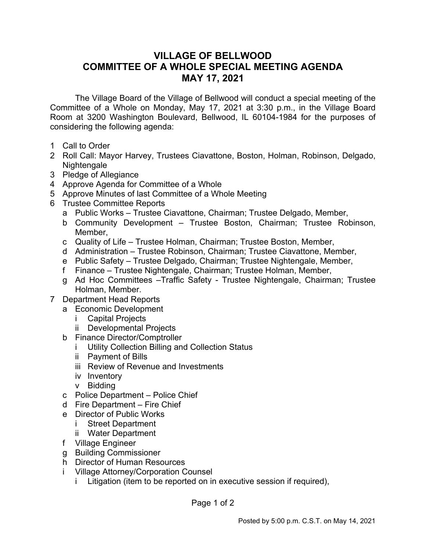## **VILLAGE OF BELLWOOD COMMITTEE OF A WHOLE SPECIAL MEETING AGENDA MAY 17, 2021**

The Village Board of the Village of Bellwood will conduct a special meeting of the Committee of a Whole on Monday, May 17, 2021 at 3:30 p.m., in the Village Board Room at 3200 Washington Boulevard, Bellwood, IL 60104-1984 for the purposes of considering the following agenda:

- 1 Call to Order
- 2 Roll Call: Mayor Harvey, Trustees Ciavattone, Boston, Holman, Robinson, Delgado, Nightengale
- 3 Pledge of Allegiance
- 4 Approve Agenda for Committee of a Whole
- 5 Approve Minutes of last Committee of a Whole Meeting
- 6 Trustee Committee Reports
	- a Public Works Trustee Ciavattone, Chairman; Trustee Delgado, Member,
	- b Community Development Trustee Boston, Chairman; Trustee Robinson, Member,
	- c Quality of Life Trustee Holman, Chairman; Trustee Boston, Member,
	- d Administration Trustee Robinson, Chairman; Trustee Ciavattone, Member,
	- e Public Safety Trustee Delgado, Chairman; Trustee Nightengale, Member,
	- f Finance Trustee Nightengale, Chairman; Trustee Holman, Member,
	- g Ad Hoc Committees –Traffic Safety Trustee Nightengale, Chairman; Trustee Holman, Member.
- 7 Department Head Reports
	- a Economic Development
		- i Capital Projects
		- ii Developmental Projects
	- b Finance Director/Comptroller
		- i Utility Collection Billing and Collection Status
		- ii Payment of Bills
		- iii Review of Revenue and Investments
		- iv Inventory
		- v Bidding
	- c Police Department Police Chief
	- d Fire Department Fire Chief
	- e Director of Public Works
		- i Street Department
		- ii Water Department
	- f Village Engineer
	- g Building Commissioner
	- h Director of Human Resources
	- i Village Attorney/Corporation Counsel
		- i Litigation (item to be reported on in executive session if required),